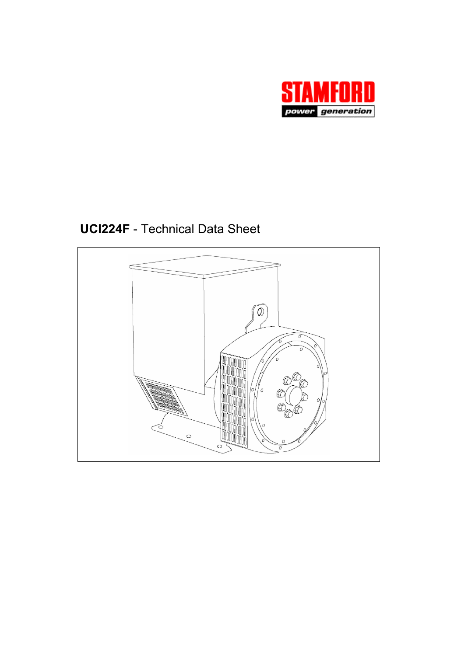

**UCI224F** - Technical Data Sheet

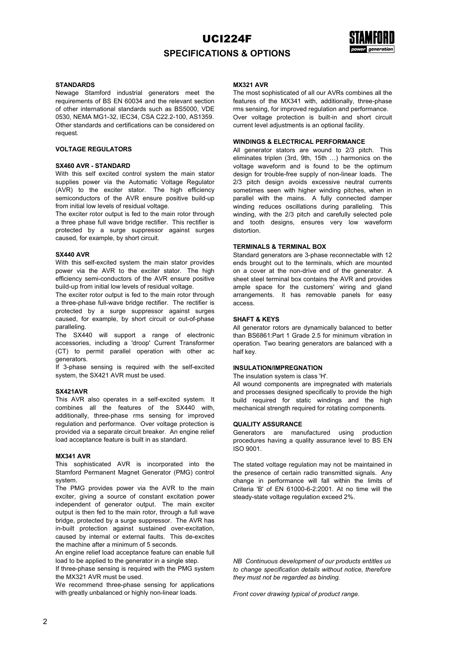## UCI224F **SPECIFICATIONS & OPTIONS**



#### **STANDARDS**

Newage Stamford industrial generators meet the requirements of BS EN 60034 and the relevant section of other international standards such as BS5000, VDE 0530, NEMA MG1-32, IEC34, CSA C22.2-100, AS1359. Other standards and certifications can be considered on request.

## **VOLTAGE REGULATORS**

#### **SX460 AVR - STANDARD**

With this self excited control system the main stator supplies power via the Automatic Voltage Regulator (AVR) to the exciter stator. The high efficiency semiconductors of the AVR ensure positive build-up from initial low levels of residual voltage.

The exciter rotor output is fed to the main rotor through a three phase full wave bridge rectifier. This rectifier is protected by a surge suppressor against surges caused, for example, by short circuit.

#### **SX440 AVR**

With this self-excited system the main stator provides power via the AVR to the exciter stator. The high efficiency semi-conductors of the AVR ensure positive build-up from initial low levels of residual voltage.

The exciter rotor output is fed to the main rotor through a three-phase full-wave bridge rectifier. The rectifier is protected by a surge suppressor against surges caused, for example, by short circuit or out-of-phase paralleling.

The SX440 will support a range of electronic accessories, including a 'droop' Current Transformer (CT) to permit parallel operation with other ac generators.

If 3-phase sensing is required with the self-excited system, the SX421 AVR must be used.

#### **SX421AVR**

This AVR also operates in a self-excited system. It combines all the features of the SX440 with, additionally, three-phase rms sensing for improved regulation and performance. Over voltage protection is provided via a separate circuit breaker. An engine relief load acceptance feature is built in as standard.

#### **MX341 AVR**

This sophisticated AVR is incorporated into the Stamford Permanent Magnet Generator (PMG) control system.

The PMG provides power via the AVR to the main exciter, giving a source of constant excitation power independent of generator output. The main exciter output is then fed to the main rotor, through a full wave bridge, protected by a surge suppressor. The AVR has in-built protection against sustained over-excitation, caused by internal or external faults. This de-excites the machine after a minimum of 5 seconds.

An engine relief load acceptance feature can enable full load to be applied to the generator in a single step.

If three-phase sensing is required with the PMG system the MX321 AVR must be used.

We recommend three-phase sensing for applications with greatly unbalanced or highly non-linear loads.

## **MX321 AVR**

The most sophisticated of all our AVRs combines all the features of the MX341 with, additionally, three-phase rms sensing, for improved regulation and performance. Over voltage protection is built-in and short circuit current level adjustments is an optional facility.

#### **WINDINGS & ELECTRICAL PERFORMANCE**

All generator stators are wound to 2/3 pitch. This eliminates triplen (3rd, 9th, 15th …) harmonics on the voltage waveform and is found to be the optimum design for trouble-free supply of non-linear loads. The 2/3 pitch design avoids excessive neutral currents sometimes seen with higher winding pitches, when in parallel with the mains. A fully connected damper winding reduces oscillations during paralleling. This winding, with the 2/3 pitch and carefully selected pole and tooth designs, ensures very low waveform distortion.

#### **TERMINALS & TERMINAL BOX**

Standard generators are 3-phase reconnectable with 12 ends brought out to the terminals, which are mounted on a cover at the non-drive end of the generator. A sheet steel terminal box contains the AVR and provides ample space for the customers' wiring and gland arrangements. It has removable panels for easy access.

## **SHAFT & KEYS**

All generator rotors are dynamically balanced to better than BS6861:Part 1 Grade 2.5 for minimum vibration in operation. Two bearing generators are balanced with a half key.

#### **INSULATION/IMPREGNATION**

The insulation system is class 'H'.

All wound components are impregnated with materials and processes designed specifically to provide the high build required for static windings and the high mechanical strength required for rotating components.

#### **QUALITY ASSURANCE**

Generators are manufactured using production procedures having a quality assurance level to BS EN ISO 9001.

The stated voltage regulation may not be maintained in the presence of certain radio transmitted signals. Any change in performance will fall within the limits of Criteria 'B' of EN 61000-6-2:2001. At no time will the steady-state voltage regulation exceed 2%.

*NB Continuous development of our products entitles us to change specification details without notice, therefore they must not be regarded as binding.* 

*Front cover drawing typical of product range.*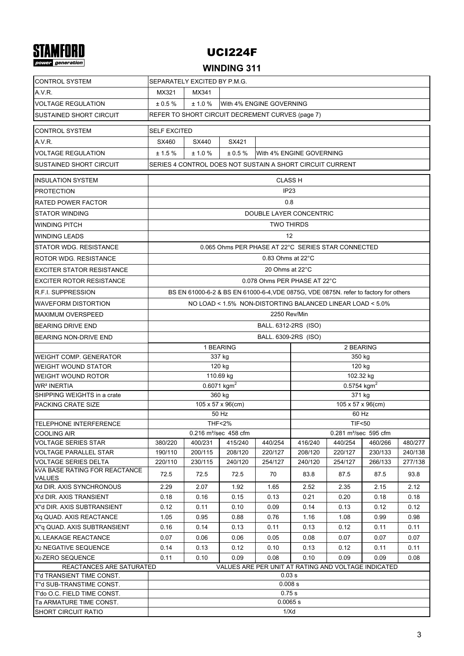# **STAMFORD**

## UCI224F

## **WINDING 311**

| <b>CONTROL SYSTEM</b>                                                           | SEPARATELY EXCITED BY P.M.G.                         |                                                           |                                                       |                                                                                      |                                                       |                           |         |         |  |
|---------------------------------------------------------------------------------|------------------------------------------------------|-----------------------------------------------------------|-------------------------------------------------------|--------------------------------------------------------------------------------------|-------------------------------------------------------|---------------------------|---------|---------|--|
| A.V.R.                                                                          | MX321<br>MX341                                       |                                                           |                                                       |                                                                                      |                                                       |                           |         |         |  |
| <b>VOLTAGE REGULATION</b>                                                       | With 4% ENGINE GOVERNING<br>± 0.5 %<br>± 1.0 %       |                                                           |                                                       |                                                                                      |                                                       |                           |         |         |  |
| <b>SUSTAINED SHORT CIRCUIT</b>                                                  | REFER TO SHORT CIRCUIT DECREMENT CURVES (page 7)     |                                                           |                                                       |                                                                                      |                                                       |                           |         |         |  |
|                                                                                 |                                                      |                                                           |                                                       |                                                                                      |                                                       |                           |         |         |  |
| <b>CONTROL SYSTEM</b>                                                           | <b>SELF EXCITED</b>                                  |                                                           |                                                       |                                                                                      |                                                       |                           |         |         |  |
| AVR.                                                                            | SX460                                                | SX440                                                     | SX421                                                 |                                                                                      |                                                       |                           |         |         |  |
| <b>VOLTAGE REGULATION</b>                                                       | ± 1.5%                                               | ± 1.0%                                                    | $± 0.5 \%$                                            |                                                                                      | With 4% ENGINE GOVERNING                              |                           |         |         |  |
| <b>SUSTAINED SHORT CIRCUIT</b>                                                  |                                                      |                                                           |                                                       | SERIES 4 CONTROL DOES NOT SUSTAIN A SHORT CIRCUIT CURRENT                            |                                                       |                           |         |         |  |
| <b>INSULATION SYSTEM</b>                                                        |                                                      |                                                           |                                                       | <b>CLASS H</b>                                                                       |                                                       |                           |         |         |  |
| <b>PROTECTION</b>                                                               |                                                      |                                                           |                                                       | IP <sub>23</sub>                                                                     |                                                       |                           |         |         |  |
| <b>RATED POWER FACTOR</b>                                                       |                                                      |                                                           |                                                       | 0.8                                                                                  |                                                       |                           |         |         |  |
| <b>STATOR WINDING</b>                                                           |                                                      |                                                           |                                                       | DOUBLE LAYER CONCENTRIC                                                              |                                                       |                           |         |         |  |
| <b>WINDING PITCH</b>                                                            |                                                      |                                                           |                                                       | <b>TWO THIRDS</b>                                                                    |                                                       |                           |         |         |  |
| <b>WINDING LEADS</b>                                                            |                                                      |                                                           |                                                       | 12                                                                                   |                                                       |                           |         |         |  |
|                                                                                 |                                                      |                                                           |                                                       | 0.065 Ohms PER PHASE AT 22°C SERIES STAR CONNECTED                                   |                                                       |                           |         |         |  |
| STATOR WDG. RESISTANCE                                                          |                                                      |                                                           |                                                       |                                                                                      |                                                       |                           |         |         |  |
| <b>ROTOR WDG. RESISTANCE</b>                                                    |                                                      |                                                           |                                                       | $0.83$ Ohms at 22 $\degree$ C                                                        |                                                       |                           |         |         |  |
| <b>EXCITER STATOR RESISTANCE</b>                                                |                                                      |                                                           |                                                       | 20 Ohms at 22°C                                                                      |                                                       |                           |         |         |  |
| <b>EXCITER ROTOR RESISTANCE</b>                                                 |                                                      |                                                           |                                                       | 0.078 Ohms PER PHASE AT 22°C                                                         |                                                       |                           |         |         |  |
| <b>R.F.I. SUPPRESSION</b>                                                       |                                                      |                                                           |                                                       | BS EN 61000-6-2 & BS EN 61000-6-4, VDE 0875G, VDE 0875N. refer to factory for others |                                                       |                           |         |         |  |
| <b>WAVEFORM DISTORTION</b>                                                      |                                                      | NO LOAD < 1.5% NON-DISTORTING BALANCED LINEAR LOAD < 5.0% |                                                       |                                                                                      |                                                       |                           |         |         |  |
| <b>MAXIMUM OVERSPEED</b>                                                        |                                                      | 2250 Rev/Min                                              |                                                       |                                                                                      |                                                       |                           |         |         |  |
| <b>BEARING DRIVE END</b>                                                        |                                                      |                                                           |                                                       | BALL. 6312-2RS (ISO)                                                                 |                                                       |                           |         |         |  |
| BEARING NON-DRIVE END                                                           |                                                      |                                                           |                                                       | BALL. 6309-2RS (ISO)                                                                 |                                                       |                           |         |         |  |
|                                                                                 | 1 BEARING<br>2 BEARING                               |                                                           |                                                       |                                                                                      |                                                       |                           |         |         |  |
| <b>WEIGHT COMP. GENERATOR</b>                                                   |                                                      |                                                           | 337 kg                                                |                                                                                      |                                                       | 350 kg                    |         |         |  |
| <b>WEIGHT WOUND STATOR</b>                                                      | 120 kg<br>120 kg                                     |                                                           |                                                       |                                                                                      |                                                       |                           |         |         |  |
| <b>WEIGHT WOUND ROTOR</b>                                                       |                                                      |                                                           | 110.69 kg                                             |                                                                                      |                                                       | 102.32 kg                 |         |         |  |
| <b>WR<sup>2</sup> INERTIA</b>                                                   |                                                      |                                                           | $0.6071$ kgm <sup>2</sup>                             |                                                                                      |                                                       | $0.5754$ kgm <sup>2</sup> |         |         |  |
| SHIPPING WEIGHTS in a crate                                                     |                                                      |                                                           | 360 kg                                                |                                                                                      |                                                       | 371 kg                    |         |         |  |
| <b>PACKING CRATE SIZE</b>                                                       |                                                      |                                                           | 105 x 57 x 96(cm)                                     |                                                                                      |                                                       | 105 x 57 x 96(cm)         |         |         |  |
|                                                                                 |                                                      |                                                           | 50 Hz                                                 |                                                                                      |                                                       | 60 Hz                     |         |         |  |
| <b>ITELEPHONE INTERFERENCE</b><br><b>COOLING AIR</b>                            |                                                      |                                                           | <b>THF&lt;2%</b><br>0.216 m <sup>3</sup> /sec 458 cfm |                                                                                      | <b>TIF&lt;50</b><br>0.281 m <sup>3</sup> /sec 595 cfm |                           |         |         |  |
| <b>VOLTAGE SERIES STAR</b>                                                      | 380/220                                              | 400/231                                                   | 415/240                                               | 440/254                                                                              | 416/240                                               | 440/254                   | 460/266 | 480/277 |  |
| <b>VOLTAGE PARALLEL STAR</b>                                                    | 190/110                                              | 200/115                                                   | 208/120                                               | 220/127                                                                              | 208/120                                               | 220/127                   | 230/133 | 240/138 |  |
| <b>VOLTAGE SERIES DELTA</b>                                                     | 220/110                                              | 230/115                                                   | 240/120                                               | 254/127                                                                              | 240/120                                               | 254/127                   | 266/133 | 277/138 |  |
| <b>kVA BASE RATING FOR REACTANCE</b><br><b>VALUES</b>                           | 72.5                                                 | 72.5                                                      | 72.5                                                  | 70                                                                                   | 83.8                                                  | 87.5                      | 87.5    | 93.8    |  |
| Xd DIR. AXIS SYNCHRONOUS                                                        | 2.29                                                 | 2.07                                                      | 1.92                                                  | 1.65                                                                                 | 2.52                                                  | 2.35                      | 2.15    | 2.12    |  |
| X'd DIR. AXIS TRANSIENT                                                         | 0.18                                                 | 0.16                                                      | 0.15                                                  | 0.13                                                                                 | 0.21                                                  | 0.20                      | 0.18    | 0.18    |  |
| X"d DIR. AXIS SUBTRANSIENT                                                      | 0.12                                                 | 0.11                                                      | 0.10                                                  | 0.09                                                                                 | 0.14                                                  | 0.13                      | 0.12    | 0.12    |  |
| Xq QUAD. AXIS REACTANCE                                                         | 1.05                                                 | 0.95                                                      | 0.88                                                  | 0.76                                                                                 | 1.16                                                  | 1.08                      | 0.99    | 0.98    |  |
| X"q QUAD. AXIS SUBTRANSIENT                                                     | 0.16                                                 | 0.14                                                      | 0.13                                                  | 0.11                                                                                 | 0.13                                                  | 0.12                      | 0.11    | 0.11    |  |
| <b>XL LEAKAGE REACTANCE</b>                                                     | 0.07                                                 | 0.06                                                      | 0.06                                                  | 0.05                                                                                 | 0.08                                                  | 0.07                      | 0.07    | 0.07    |  |
| X <sub>2</sub> NEGATIVE SEQUENCE                                                | 0.14                                                 | 0.13                                                      | 0.12                                                  | 0.10                                                                                 | 0.13                                                  | 0.12                      | 0.11    | 0.11    |  |
| X <sub>0</sub> ZERO SEQUENCE                                                    | 0.08<br>0.11<br>0.10<br>0.09<br>0.10<br>0.09<br>0.09 |                                                           |                                                       |                                                                                      |                                                       |                           | 0.08    |         |  |
| VALUES ARE PER UNIT AT RATING AND VOLTAGE INDICATED<br>REACTANCES ARE SATURATED |                                                      |                                                           |                                                       |                                                                                      |                                                       |                           |         |         |  |
| T'd TRANSIENT TIME CONST.                                                       |                                                      |                                                           |                                                       | 0.03 s                                                                               |                                                       |                           |         |         |  |
| T"d SUB-TRANSTIME CONST.                                                        | 0.008 s                                              |                                                           |                                                       |                                                                                      |                                                       |                           |         |         |  |
| T'do O.C. FIELD TIME CONST.<br>Ta ARMATURE TIME CONST.                          | 0.75s<br>0.0065 s                                    |                                                           |                                                       |                                                                                      |                                                       |                           |         |         |  |
| <b>SHORT CIRCUIT RATIO</b>                                                      | 1/Xd                                                 |                                                           |                                                       |                                                                                      |                                                       |                           |         |         |  |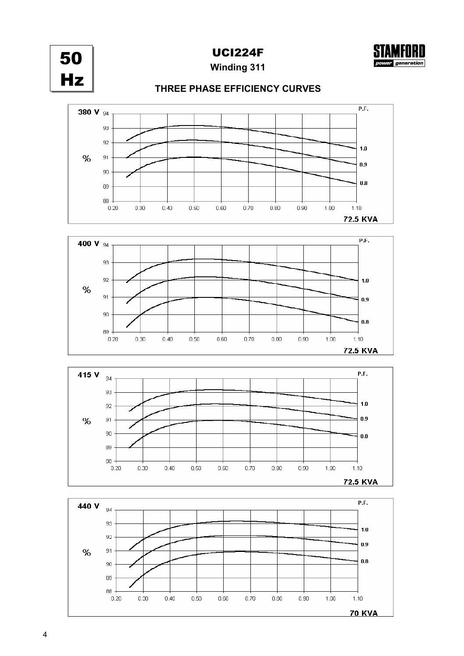

UCI224F



**Winding 311**

## **THREE PHASE EFFICIENCY CURVES**







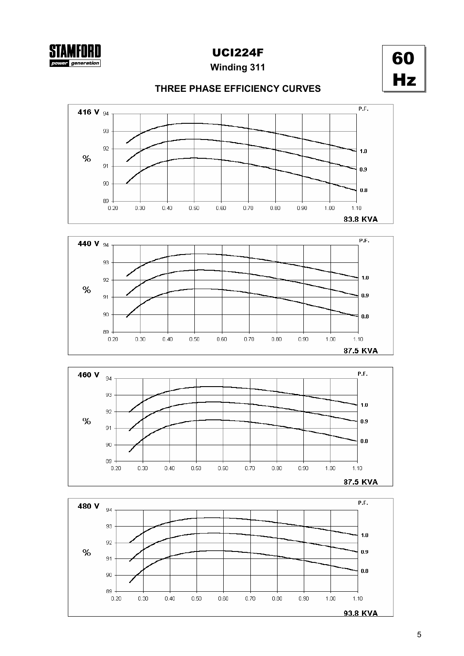## UCI224F

**Winding 311**



## **THREE PHASE EFFICIENCY CURVES**







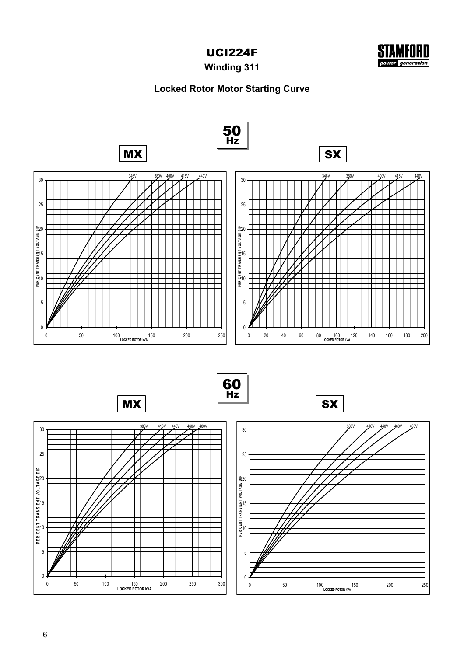



**Winding 311**

## **Locked Rotor Motor Starting Curve**

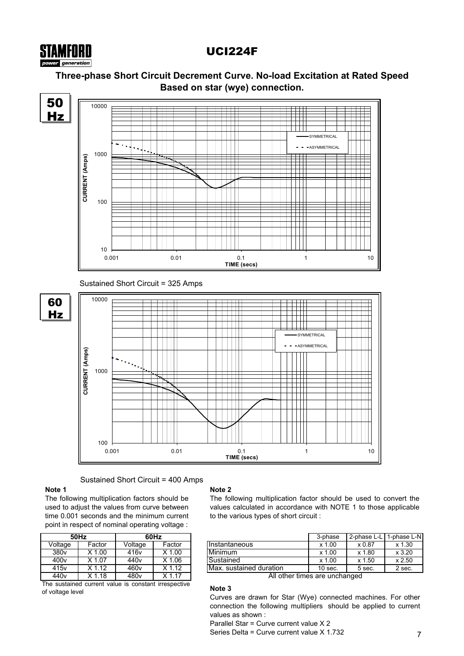## UCI224F

## **Three-phase Short Circuit Decrement Curve. No-load Excitation at Rated Speed Based on star (wye) connection.**



## Sustained Short Circuit = 400 Amps

## **Note 1**

STAMFORD er generation

The following multiplication factors should be used to adjust the values from curve between time 0.001 seconds and the minimum current point in respect of nominal operating voltage :

|                  | 50Hz     | 60Hz             |          |  |  |  |
|------------------|----------|------------------|----------|--|--|--|
| Voltage          | Factor   | Voltage          | Factor   |  |  |  |
| 380v             | $X$ 1.00 | 416v             | $X$ 1.00 |  |  |  |
| 400 <sub>v</sub> | $X$ 1.07 | 440 <sub>v</sub> | $X$ 1.06 |  |  |  |
| 415 <sub>v</sub> | $X$ 1.12 | 460 <sub>v</sub> | $X$ 1.12 |  |  |  |
| 440 <sub>v</sub> | $X$ 1.18 | 480v             | X 1 17   |  |  |  |

The sustained current value is constant irrespective of voltage level

## **Note 2**

The following multiplication factor should be used to convert the values calculated in accordance with NOTE 1 to those applicable to the various types of short circuit :

|                  | 50Hz   |                  | 60Hz   |                           | 3-phase    | 2-phase L-L I | 1-phase L-N <b>I</b> |
|------------------|--------|------------------|--------|---------------------------|------------|---------------|----------------------|
| Voltage          | Factor | Voltage          | Factor | <b>I</b> Instantaneous    | .00<br>x ʻ | x 0.87        | x 1.30               |
| 380 <sub>v</sub> | .00    | 416v             | .00    | Minimum                   | .00<br>x 1 | x 1.80        | x 3.20               |
| 400 <sub>v</sub> | 1.07   | 440v             | .06    | Sustained                 | .00<br>x 1 | x 1.50        | x 2.50               |
| 415 <sub>v</sub> | .12    | 460 <sub>v</sub> | .12    | Max. sustained duration   | $10$ sec.  | 5 sec.        | 2 sec.               |
| .                | .      | ---              | .      | $\overline{\cdots}$<br>-- |            |               |                      |

All other times are unchanged

## **Note 3**

Curves are drawn for Star (Wye) connected machines. For other connection the following multipliers should be applied to current values as shown :

Parallel Star = Curve current value X 2

Series Delta = Curve current value X 1.732